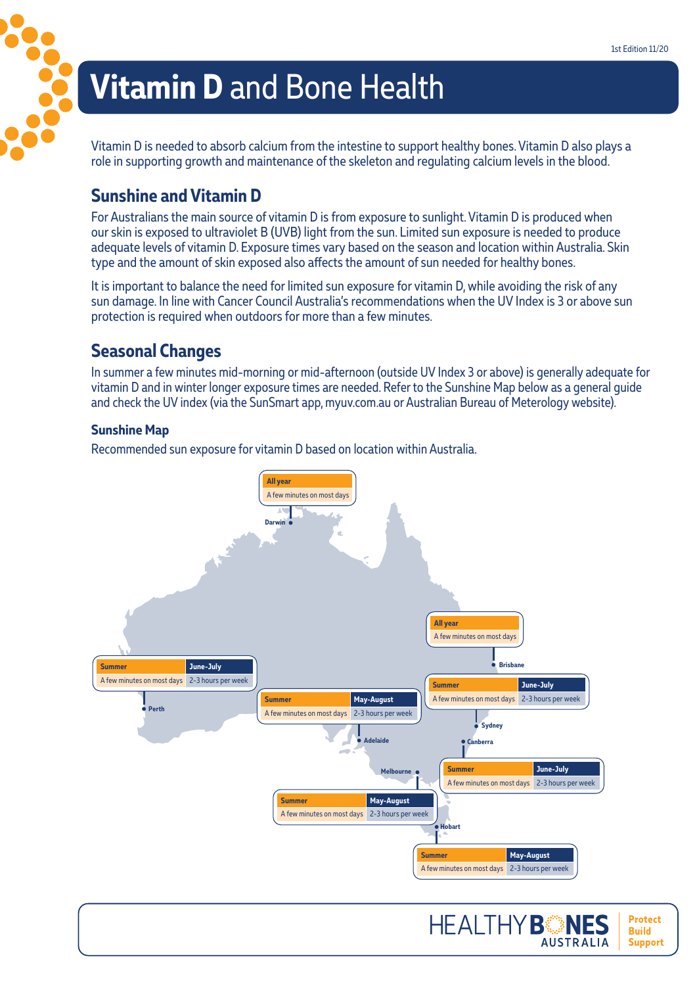**Protect Build** 

**Support** 

**AUSTRALIA** 

# **Vitamin D** and Bone Health

Vitamin D is needed to absorb calcium from the intestine to support healthy bones. Vitamin D also plays a role in supporting growth and maintenance of the skeleton and regulating calcium levels in the blood.

#### **Sunshine and Vitamin D**

3222

For Australians the main source of vitamin D is from exposure to sunlight. Vitamin D is produced when our skin is exposed to ultraviolet B (UVB) light from the sun. Limited sun exposure is needed to produce adequate levels of vitamin D. Exposure times vary based on the season and location within Australia. Skin type and the amount of skin exposed also affects the amount of sun needed for healthy bones.

It is important to balance the need for limited sun exposure for vitamin D, while avoiding the risk of any sun damage. In line with Cancer Council Australia's recommendations when the UV Index is 3 or above sun protection is required when outdoors for more than a few minutes.

### **Seasonal Changes**

In summer a few minutes mid-morning or mid-afternoon (outside UV Index 3 or above) is generally adequate for vitamin D and in winter longer exposure times are needed. Refer to the Sunshine Map below as a general guide and check the UV index (via the SunSmart app, myuv.com.au or Australian Bureau of Meterology website).

#### **Sunshine Map**

Recommended sun exposure for vitamin D based on location within Australia.

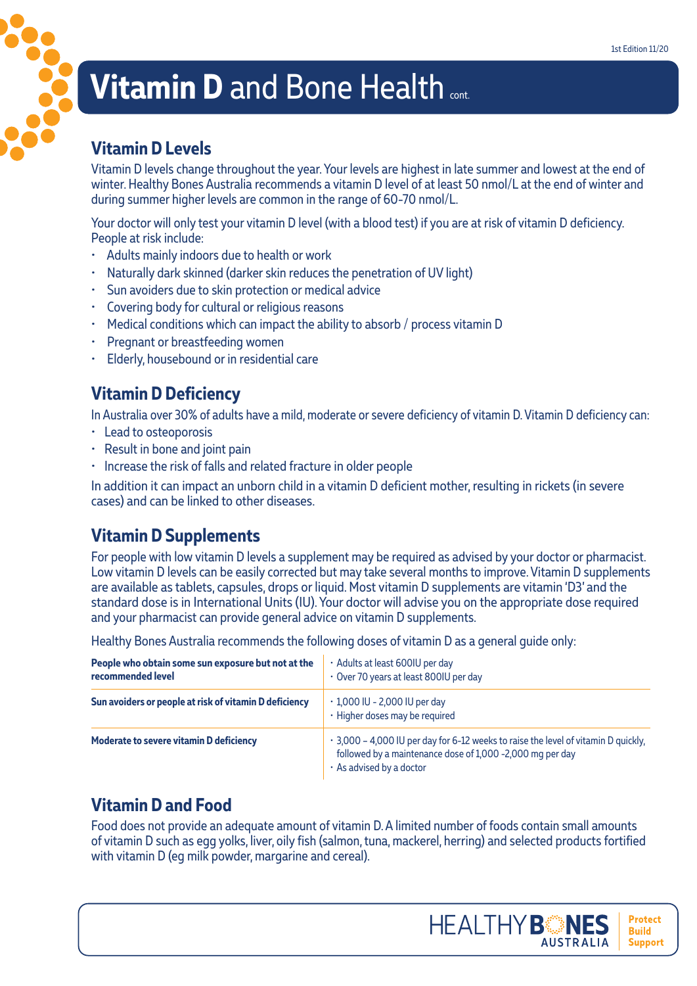# **Vitamin D and Bone Health Cont.**

#### **Vitamin D Levels**

Vitamin D levels change throughout the year. Your levels are highest in late summer and lowest at the end of winter. Healthy Bones Australia recommends a vitamin D level of at least 50 nmol/L at the end of winter and during summer higher levels are common in the range of 60-70 nmol/L.

Your doctor will only test your vitamin D level (with a blood test) if you are at risk of vitamin D deficiency. People at risk include:

- Adults mainly indoors due to health or work
- Naturally dark skinned (darker skin reduces the penetration of UV light)
- Sun avoiders due to skin protection or medical advice
- Covering body for cultural or religious reasons
- Medical conditions which can impact the ability to absorb / process vitamin D
- Pregnant or breastfeeding women
- Elderly, housebound or in residential care

### **Vitamin D Deficiency**

In Australia over 30% of adults have a mild, moderate or severe deficiency of vitamin D. Vitamin D deficiency can:

- Lead to osteoporosis
- Result in bone and joint pain
- Increase the risk of falls and related fracture in older people

In addition it can impact an unborn child in a vitamin D deficient mother, resulting in rickets (in severe cases) and can be linked to other diseases.

# **Vitamin D Supplements**

For people with low vitamin D levels a supplement may be required as advised by your doctor or pharmacist. Low vitamin D levels can be easily corrected but may take several months to improve. Vitamin D supplements are available as tablets, capsules, drops or liquid. Most vitamin D supplements are vitamin 'D3' and the standard dose is in International Units (IU). Your doctor will advise you on the appropriate dose required and your pharmacist can provide general advice on vitamin D supplements.

Healthy Bones Australia recommends the following doses of vitamin D as a general guide only:

| People who obtain some sun exposure but not at the<br>recommended level | · Adults at least 600IU per day<br>• Over 70 years at least 800IU per day                                                                                                   |  |
|-------------------------------------------------------------------------|-----------------------------------------------------------------------------------------------------------------------------------------------------------------------------|--|
| Sun avoiders or people at risk of vitamin D deficiency                  | $\cdot$ 1,000 IU - 2,000 IU per day<br>· Higher doses may be required                                                                                                       |  |
| <b>Moderate to severe vitamin D deficiency</b>                          | . 3,000 - 4,000 IU per day for 6-12 weeks to raise the level of vitamin D quickly,<br>followed by a maintenance dose of 1,000 -2,000 mg per day<br>· As advised by a doctor |  |

# **Vitamin D and Food**

Food does not provide an adequate amount of vitamin D. A limited number of foods contain small amounts of vitamin D such as egg yolks, liver, oily fish (salmon, tuna, mackerel, herring) and selected products fortified with vitamin D (eg milk powder, margarine and cereal).